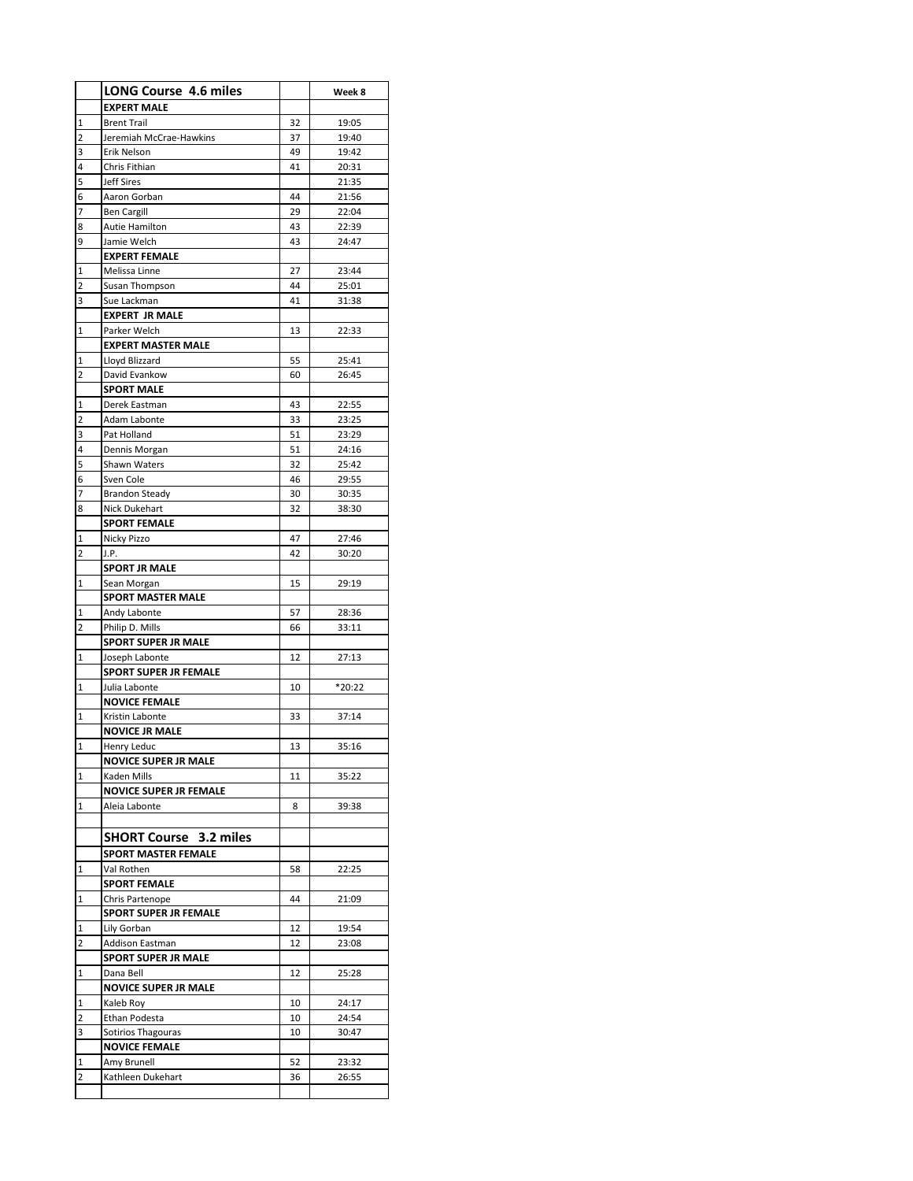|                | <b>LONG Course 4.6 miles</b>               |          | Week 8         |
|----------------|--------------------------------------------|----------|----------------|
|                | <b>EXPERT MALE</b>                         |          |                |
|                |                                            |          |                |
| $\mathbf 1$    | <b>Brent Trail</b>                         | 32       | 19:05          |
| 2              | Jeremiah McCrae-Hawkins                    | 37       | 19:40          |
| 3              | Erik Nelson<br>Chris Fithian               | 49<br>41 | 19:42          |
| 4              |                                            |          | 20:31          |
| 5              | <b>Jeff Sires</b>                          |          | 21:35          |
| 6              | Aaron Gorban                               | 44       | 21:56          |
| 7              | <b>Ben Cargill</b>                         | 29       | 22:04          |
| 8              | Autie Hamilton                             | 43       | 22:39          |
| 9              | Jamie Welch                                | 43       | 24:47          |
|                | <b>EXPERT FEMALE</b>                       |          |                |
| 1              | Melissa Linne                              | 27       | 23:44          |
| 2              | Susan Thompson                             | 44       | 25:01          |
| 3              | Sue Lackman                                | 41       | 31:38          |
|                | <b>EXPERT JR MALE</b>                      | 13       |                |
| 1              | Parker Welch                               |          | 22:33          |
|                | <b>EXPERT MASTER MALE</b>                  |          |                |
| 1<br>2         | Lloyd Blizzard                             | 55       | 25:41          |
|                | David Evankow                              | 60       | 26:45          |
|                | <b>SPORT MALE</b>                          |          |                |
| 1              | Derek Eastman<br>Adam Labonte              | 43       | 22:55          |
| 2<br>3         |                                            | 33       | 23:25          |
|                | Pat Holland                                | 51       | 23:29          |
| 4              | Dennis Morgan                              | 51       | 24:16          |
| 5              | Shawn Waters                               | 32       | 25:42          |
| 6<br>7         | Sven Cole                                  | 46<br>30 | 29:55          |
| 8              | <b>Brandon Steady</b>                      | 32       | 30:35<br>38:30 |
|                | Nick Dukehart<br><b>SPORT FEMALE</b>       |          |                |
| 1              | Nicky Pizzo                                | 47       | 27:46          |
| 2              | J.P.                                       | 42       | 30:20          |
|                | <b>SPORT JR MALE</b>                       |          |                |
| 1              | Sean Morgan                                | 15       | 29:19          |
|                | SPORT MASTER MALE                          |          |                |
| 1              | Andy Labonte                               | 57       | 28:36          |
| 2              | Philip D. Mills                            | 66       | 33:11          |
|                | <b>SPORT SUPER JR MALE</b>                 |          |                |
| 1              | Joseph Labonte                             | 12       | 27:13          |
|                | <b>SPORT SUPER JR FEMALE</b>               |          |                |
| 1              | Julia Labonte                              | 10       | *20:22         |
|                | <b>NOVICE FEMALE</b>                       |          |                |
| 1              | Kristin Labonte                            | 33       | 37:14          |
|                | <b>NOVICE JR MALE</b>                      |          |                |
| $\mathsf{I}_1$ | Henry Leduc                                | 13       | 35:16          |
|                | <b>NOVICE SUPER JR MALE</b>                |          |                |
| 1              | Kaden Mills                                | 11       | 35:22          |
|                | <b>NOVICE SUPER JR FEMALE</b>              |          |                |
| 1              | Aleia Labonte                              | 8        | 39:38          |
|                |                                            |          |                |
|                | <b>SHORT Course 3.2 miles</b>              |          |                |
|                | <b>SPORT MASTER FEMALE</b>                 |          |                |
| 1              | Val Rothen                                 | 58       | 22:25          |
|                | <b>SPORT FEMALE</b>                        |          |                |
| 1              | Chris Partenope                            | 44       | 21:09          |
|                | <b>SPORT SUPER JR FEMALE</b>               |          |                |
| 1              | Lily Gorban                                | 12       | 19:54          |
| 2              | <b>Addison Eastman</b>                     | 12       | 23:08          |
|                | <b>SPORT SUPER JR MALE</b>                 |          |                |
| 1              | Dana Bell                                  | 12       | 25:28          |
|                | <b>NOVICE SUPER JR MALE</b>                |          |                |
| 1              | Kaleb Roy                                  | 10       | 24:17          |
| 2              | Ethan Podesta                              | 10       | 24:54          |
| 3              | Sotirios Thagouras<br><b>NOVICE FEMALE</b> | 10       | 30:47          |
| 1              | Amy Brunell                                | 52       | 23:32          |
| 2              | Kathleen Dukehart                          | 36       | 26:55          |
|                |                                            |          |                |